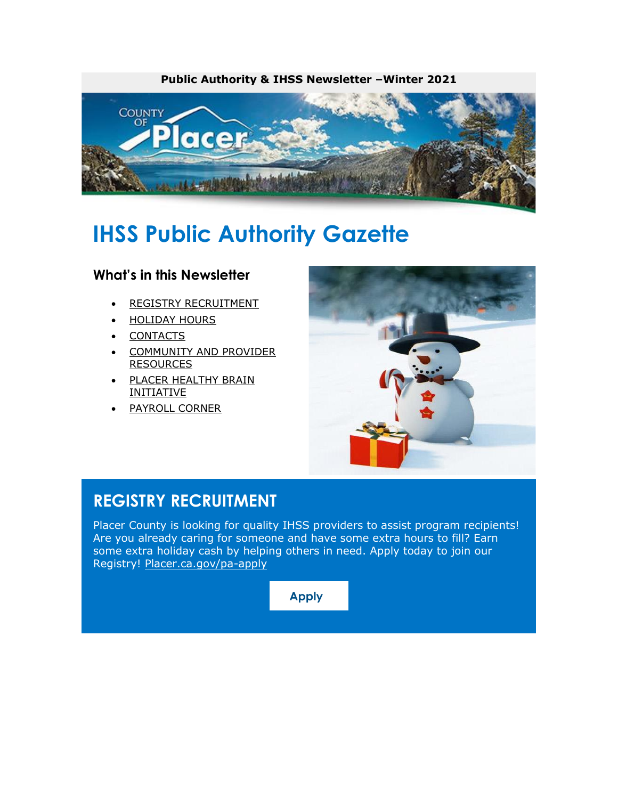

# **IHSS Public Authority Gazette**

#### **What's in this Newsletter**

- [REGISTRY RECRUITMENT](#page-0-0)
- [HOLIDAY HOURS](#page-0-1)
- [CONTACTS](#page-1-0)
- [COMMUNITY AND PROVIDER](#page-1-1) [RESOURCES](#page-1-1)
- [PLACER HEALTHY BRAIN](#page-2-0) [INITIATIVE](#page-2-0)
- [PAYROLL CORNER](#page-3-0)



### <span id="page-0-0"></span>**REGISTRY RECRUITMENT**

<span id="page-0-1"></span>Placer County is looking for quality IHSS providers to assist program recipients! Are you already caring for someone and have some extra hours to fill? Earn some extra holiday cash by helping others in need. Apply today to join our Registry! [Placer.ca.gov/pa-apply](https://protect-us.mimecast.com/s/b3fCCERBOZtl573xSwHg47?domain=placer.ca.gov)

**[Apply](https://www.placer.ca.gov/pa-apply)**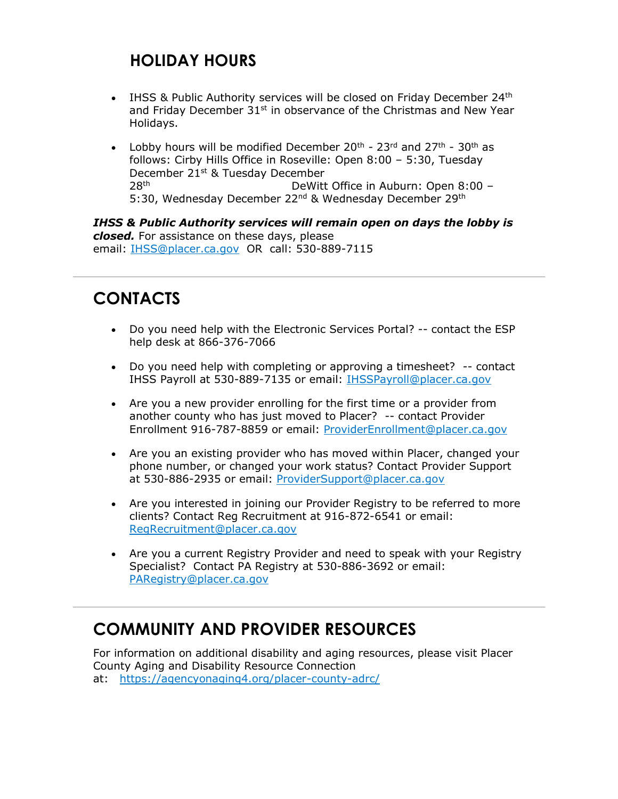# **HOLIDAY HOURS**

- IHSS & Public Authority services will be closed on Friday December  $24<sup>th</sup>$ and Friday December  $31^{st}$  in observance of the Christmas and New Year Holidays.
- Lobby hours will be modified December  $20^{th}$   $23^{rd}$  and  $27^{th}$   $30^{th}$  as follows: Cirby Hills Office in Roseville: Open 8:00 – 5:30, Tuesday December 21st & Tuesday December 28th DeWitt Office in Auburn: Open 8:00 – 5:30, Wednesday December 22<sup>nd</sup> & Wednesday December 29<sup>th</sup>

*IHSS & Public Authority services will remain open on days the lobby is closed.* For assistance on these days, please email: [IHSS@placer.ca.gov](mailto:IHSS@placer.ca.gov) OR call: 530-889-7115

# <span id="page-1-0"></span>**CONTACTS**

- Do you need help with the Electronic Services Portal? -- contact the ESP help desk at 866-376-7066
- Do you need help with completing or approving a timesheet? -- contact IHSS Payroll at 530-889-7135 or email: [IHSSPayroll@placer.ca.gov](mailto:IHSSPayroll@placer.ca.gov)
- Are you a new provider enrolling for the first time or a provider from another county who has just moved to Placer? -- contact Provider Enrollment 916-787-8859 or email: [ProviderEnrollment@placer.ca.gov](mailto:ProviderEnrollment@placer.ca.gov)
- Are you an existing provider who has moved within Placer, changed your phone number, or changed your work status? Contact Provider Support at 530-886-2935 or email: [ProviderSupport@placer.ca.gov](mailto:ProviderSupport@placer.ca.gov)
- Are you interested in joining our Provider Registry to be referred to more clients? Contact Reg Recruitment at 916-872-6541 or email: [RegRecruitment@placer.ca.gov](mailto:RegRecruitment@placer.ca.gov)
- Are you a current Registry Provider and need to speak with your Registry Specialist? Contact PA Registry at 530-886-3692 or email: [PARegistry@placer.ca.gov](mailto:PARegistry@placer.ca.gov)

# <span id="page-1-1"></span>**COMMUNITY AND PROVIDER RESOURCES**

For information on additional disability and aging resources, please visit Placer County Aging and Disability Resource Connection at: [https://agencyonaging4.org/placer-county-adrc/](https://protect-us.mimecast.com/s/Q1GqCgJPYxCqZ3AyInz9iU?domain=agencyonaging4.org)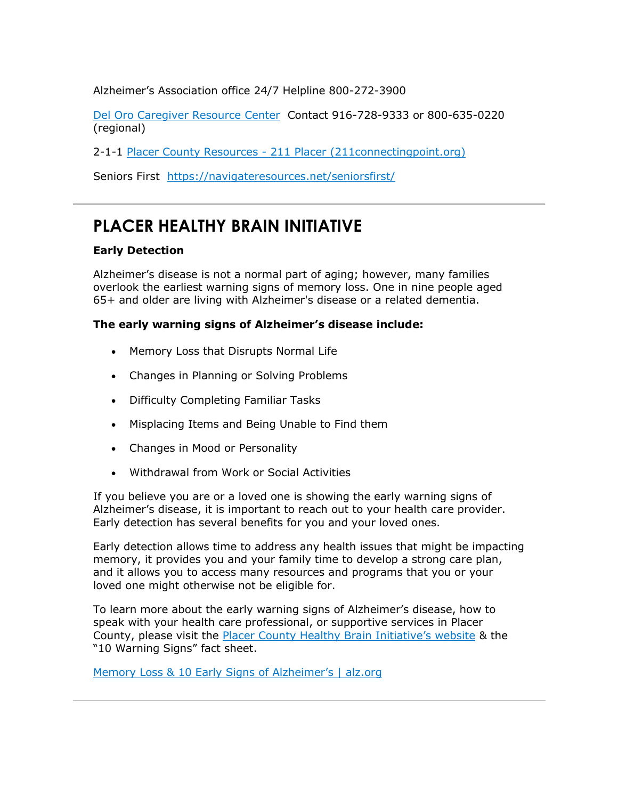Alzheimer's Association office 24/7 Helpline 800-272-3900

[Del Oro Caregiver Resource Center](https://protect-us.mimecast.com/s/OHcqCJ6RDYfBEJqwsLi5dc?domain=deloro.org/) Contact 916-728-9333 or 800-635-0220 (regional)

2-1-1 Placer County Resources - [211 Placer \(211connectingpoint.org\)](https://protect-us.mimecast.com/s/0CliCL9R6YFknWR9cgESWl?domain=211connectingpoint.org/)

Seniors First [https://navigateresources.net/seniorsfirst/](https://protect-us.mimecast.com/s/_pUACM86DEi24rq3cGnFT_?domain=navigateresources.net/)

#### <span id="page-2-0"></span>**PLACER HEALTHY BRAIN INITIATIVE**

#### **Early Detection**

Alzheimer's disease is not a normal part of aging; however, many families overlook the earliest warning signs of memory loss. One in nine people aged 65+ and older are living with Alzheimer's disease or a related dementia.

#### **The early warning signs of Alzheimer's disease include:**

- Memory Loss that Disrupts Normal Life
- Changes in Planning or Solving Problems
- Difficulty Completing Familiar Tasks
- Misplacing Items and Being Unable to Find them
- Changes in Mood or Personality
- Withdrawal from Work or Social Activities

If you believe you are or a loved one is showing the early warning signs of Alzheimer's disease, it is important to reach out to your health care provider. Early detection has several benefits for you and your loved ones.

Early detection allows time to address any health issues that might be impacting memory, it provides you and your family time to develop a strong care plan, and it allows you to access many resources and programs that you or your loved one might otherwise not be eligible for.

To learn more about the early warning signs of Alzheimer's disease, how to speak with your health care professional, or supportive services in Placer County, please visit the [Placer County Healthy Brain Initiative's website](https://protect-us.mimecast.com/s/MhJ7CNkRDEiZmW03tVa9rZ?domain=placer.ca.gov) & the "10 Warning Signs" fact sheet.

[Memory Loss & 10 Early Signs of Alzheimer's | alz.org](https://protect-us.mimecast.com/s/TyzkCPN8mMC0EwKXtW65-e?domain=alz.org)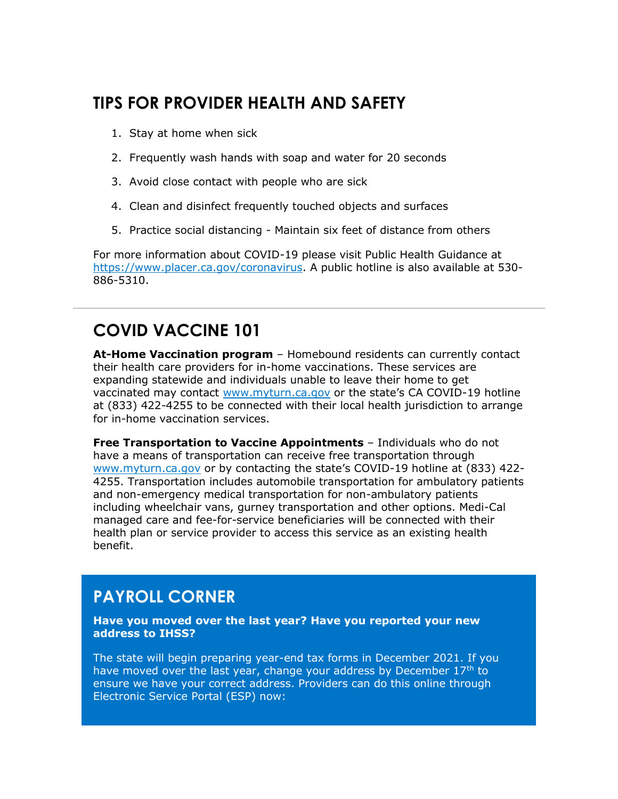### **TIPS FOR PROVIDER HEALTH AND SAFETY**

- 1. Stay at home when sick
- 2. Frequently wash hands with soap and water for 20 seconds
- 3. Avoid close contact with people who are sick
- 4. Clean and disinfect frequently touched objects and surfaces
- 5. Practice social distancing Maintain six feet of distance from others

For more information about COVID-19 please visit Public Health Guidance at [https://www.placer.ca.gov/coronavirus.](https://protect-us.mimecast.com/s/tJ3gCR67YMfGq6vWTvAhZg?domain=placer.ca.gov) A public hotline is also available at 530- 886-5310.

# **COVID VACCINE 101**

**At-Home Vaccination program** – Homebound residents can currently contact their health care providers for in-home vaccinations. These services are expanding statewide and individuals unable to leave their home to get vaccinated may contact [www.myturn.ca.gov](https://protect-us.mimecast.com/s/IaH1CW6ROwf6mE5qTyePFC?domain=urldefense.com) or the state's CA COVID-19 hotline at (833) 422-4255 to be connected with their local health jurisdiction to arrange for in-home vaccination services.

**Free Transportation to Vaccine Appointments** – Individuals who do not have a means of transportation can receive free transportation through [www.myturn.ca.gov](https://protect-us.mimecast.com/s/sMIqCXDRx7C4oQXKHWfgsM?domain=urldefense.com) or by contacting the state's COVID-19 hotline at (833) 422- 4255. Transportation includes automobile transportation for ambulatory patients and non-emergency medical transportation for non-ambulatory patients including wheelchair vans, gurney transportation and other options. Medi-Cal managed care and fee-for-service beneficiaries will be connected with their health plan or service provider to access this service as an existing health benefit.

### <span id="page-3-0"></span>**PAYROLL CORNER**

**Have you moved over the last year? Have you reported your new address to IHSS?**

The state will begin preparing year-end tax forms in December 2021. If you have moved over the last year, change your address by December 17<sup>th</sup> to ensure we have your correct address. Providers can do this online through Electronic Service Portal (ESP) now: